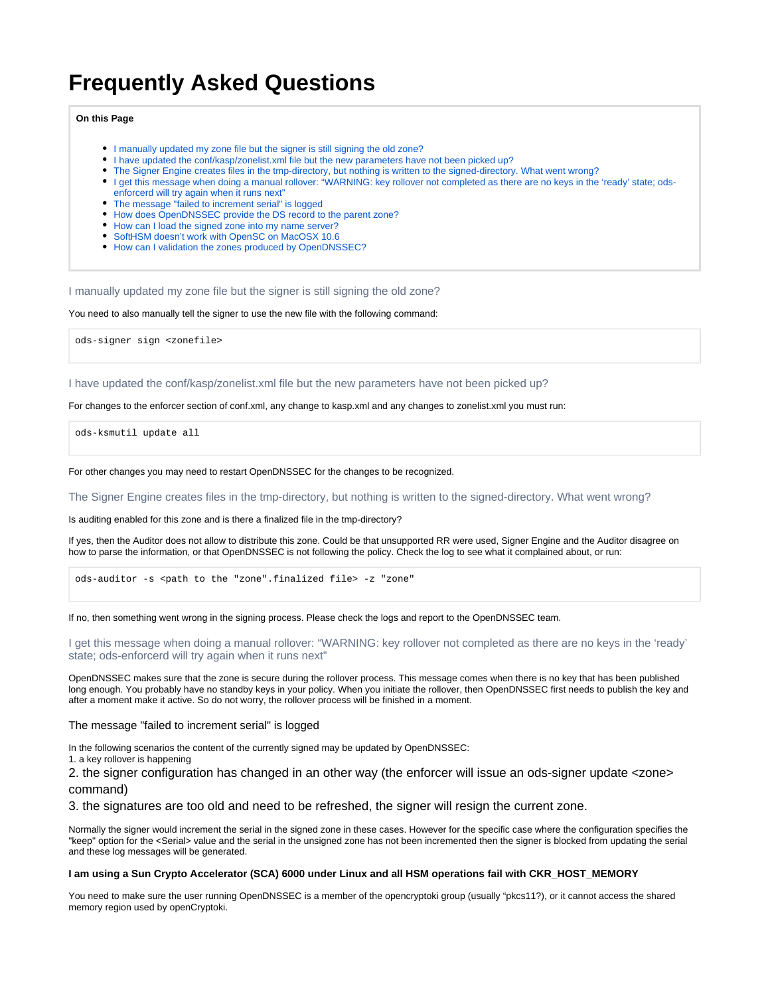# **Frequently Asked Questions**

## **On this Page**

- [I manually updated my zone file but the signer is still signing the old zone?](#page-0-0)
- [I have updated the conf/kasp/zonelist.xml file but the new parameters have not been picked up?](#page-0-1)
- [The Signer Engine creates files in the tmp-directory, but nothing is written to the signed-directory. What went wrong?](#page-0-2)
- [I get this message when doing a manual rollover: "WARNING: key rollover not completed as there are no keys in the 'ready' state; ods](#page-0-3)[enforcerd will try again when it runs next"](#page-0-3)
- [The message "failed to increment serial" is logged](#page-0-4)
- [How does OpenDNSSEC provide the DS record to the parent zone?](#page-0-5)
- [How can I load the signed zone into my name server?](#page-1-0)
- [SoftHSM doesn't work with OpenSC on MacOSX 10.6](#page-1-1)
- [How can I validation the zones produced by OpenDNSSEC?](#page-1-2)

<span id="page-0-0"></span>I manually updated my zone file but the signer is still signing the old zone?

You need to also manually tell the signer to use the new file with the following command:

ods-signer sign <zonefile>

<span id="page-0-1"></span>I have updated the conf/kasp/zonelist.xml file but the new parameters have not been picked up?

For changes to the enforcer section of conf.xml, any change to kasp.xml and any changes to zonelist.xml you must run:

ods-ksmutil update all

For other changes you may need to restart OpenDNSSEC for the changes to be recognized.

<span id="page-0-2"></span>The Signer Engine creates files in the tmp-directory, but nothing is written to the signed-directory. What went wrong?

Is auditing enabled for this zone and is there a finalized file in the tmp-directory?

If yes, then the Auditor does not allow to distribute this zone. Could be that unsupported RR were used, Signer Engine and the Auditor disagree on how to parse the information, or that OpenDNSSEC is not following the policy. Check the log to see what it complained about, or run:

ods-auditor -s <path to the "zone".finalized file> -z "zone"

If no, then something went wrong in the signing process. Please check the logs and report to the OpenDNSSEC team.

<span id="page-0-3"></span>I get this message when doing a manual rollover: "WARNING: key rollover not completed as there are no keys in the 'ready' state; ods-enforcerd will try again when it runs next"

OpenDNSSEC makes sure that the zone is secure during the rollover process. This message comes when there is no key that has been published long enough. You probably have no standby keys in your policy. When you initiate the rollover, then OpenDNSSEC first needs to publish the key and after a moment make it active. So do not worry, the rollover process will be finished in a moment.

## <span id="page-0-4"></span>The message "failed to increment serial" is logged

In the following scenarios the content of the currently signed may be updated by OpenDNSSEC:

1. a key rollover is happening

2. the signer configuration has changed in an other way (the enforcer will issue an ods-signer update <zone>

command)

3. the signatures are too old and need to be refreshed, the signer will resign the current zone.

Normally the signer would increment the serial in the signed zone in these cases. However for the specific case where the configuration specifies the "keep" option for the <Serial> value and the serial in the unsigned zone has not been incremented then the signer is blocked from updating the serial and these log messages will be generated.

### **I am using a Sun Crypto Accelerator (SCA) 6000 under Linux and all HSM operations fail with CKR\_HOST\_MEMORY**

<span id="page-0-5"></span>You need to make sure the user running OpenDNSSEC is a member of the opencryptoki group (usually "pkcs11?), or it cannot access the shared memory region used by openCryptoki.